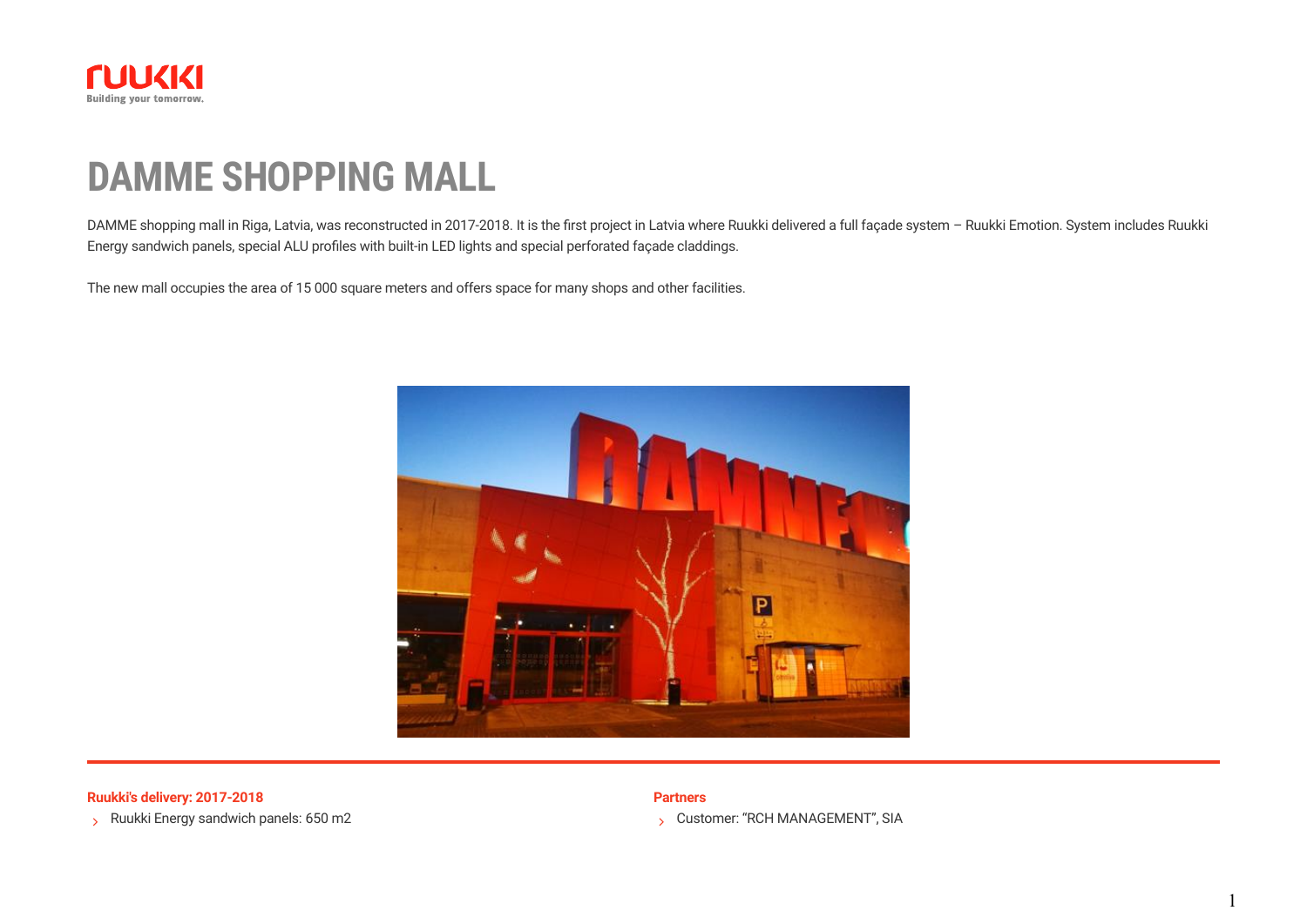

# **DAMME SHOPPING MALL**

DAMME shopping mall in Riga, Latvia, was reconstructed in 2017-2018. It is the first project in Latvia where Ruukki delivered a full façade system - Ruukki Emotion. System includes Ruukki Energy sandwich panels, special ALU profiles with built-in LED lights and special perforated façade claddings.

The new mall occupies the area of 15 000 square meters and offers space for many shops and other facilities.



**Ruukki's delivery: 2017-2018 Partners**

S Ruukki Energy sandwich panels:  $650$  m2

Customer: "RCH MANAGEMENT", SIA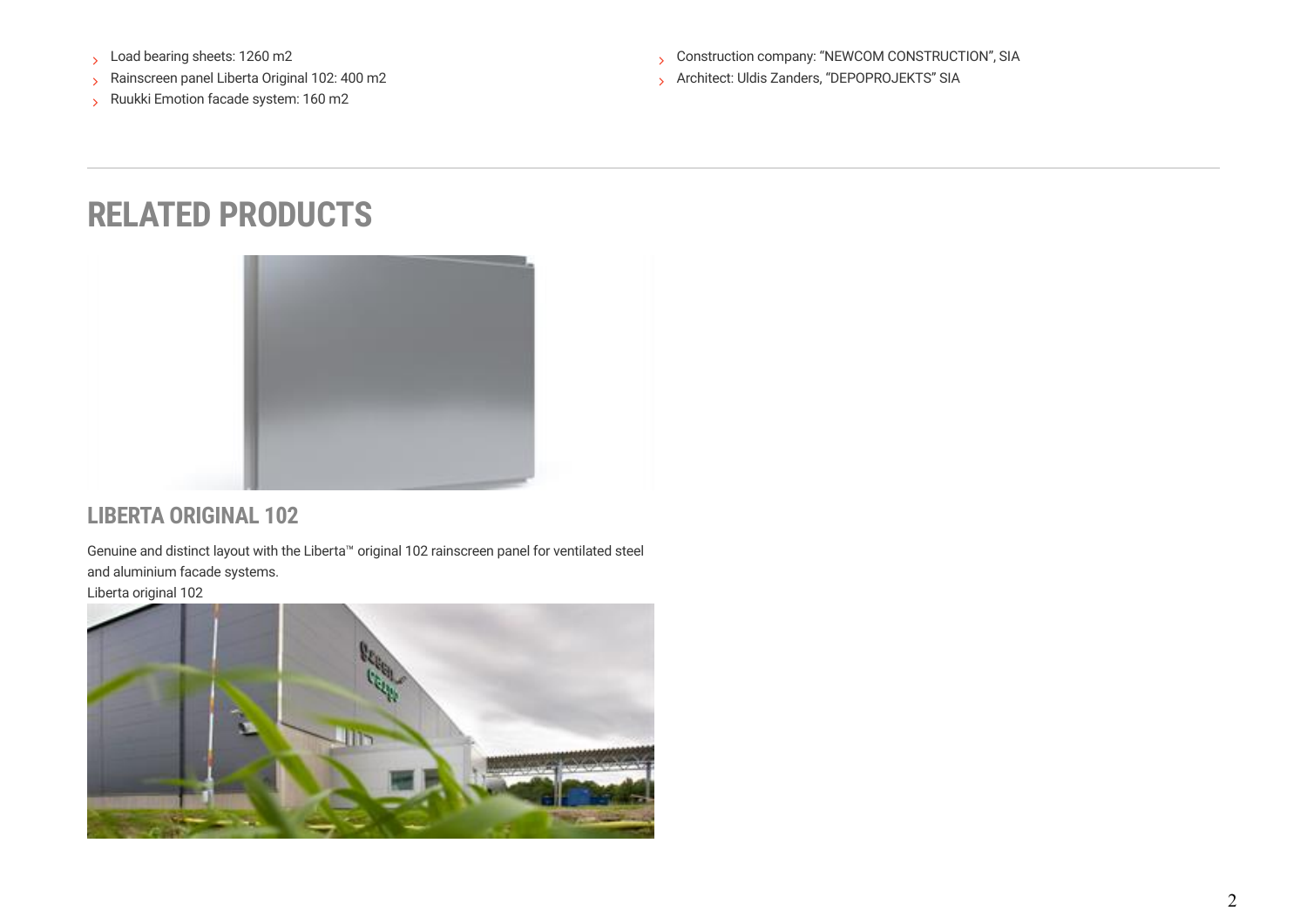- Load bearing sheets: 1260 m2
- Rainscreen panel Liberta Original 102: 400 m2
- Ruukki Emotion facade system: 160 m2

S Construction company: "NEWCOM CONSTRUCTION", SIA

Architect: Uldis Zanders, "DEPOPROJEKTS" SIA

## **RELATED PRODUCTS**



#### **LIBERTA ORIGINAL 102**

Genuine and distinct layout with the Liberta™ original 102 rainscreen panel for ventilated steel and aluminium facade systems.

[Liberta original 102](https://www.ruukki.com/b2b/products/facade-claddings/rainscreen-panels/facade-claddings-details/liberta-original-102)